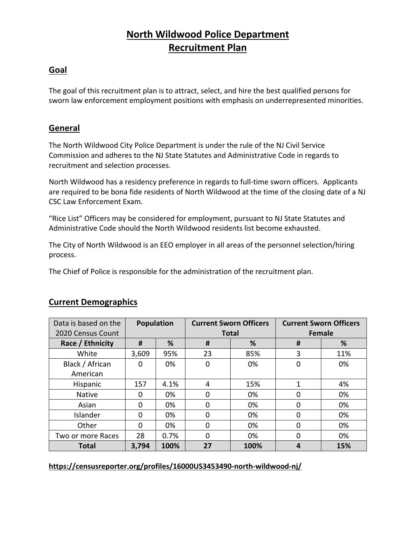# **North Wildwood Police Department Recruitment Plan**

### **Goal**

The goal of this recruitment plan is to attract, select, and hire the best qualified persons for sworn law enforcement employment positions with emphasis on underrepresented minorities.

### **General**

The North Wildwood City Police Department is under the rule of the NJ Civil Service Commission and adheres to the NJ State Statutes and Administrative Code in regards to recruitment and selection processes.

North Wildwood has a residency preference in regards to full-time sworn officers. Applicants are required to be bona fide residents of North Wildwood at the time of the closing date of a NJ CSC Law Enforcement Exam.

"Rice List" Officers may be considered for employment, pursuant to NJ State Statutes and Administrative Code should the North Wildwood residents list become exhausted.

The City of North Wildwood is an EEO employer in all areas of the personnel selection/hiring process.

The Chief of Police is responsible for the administration of the recruitment plan.

| Data is based on the<br>2020 Census Count | <b>Population</b> |      | <b>Current Sworn Officers</b><br><b>Total</b> |      | <b>Current Sworn Officers</b><br><b>Female</b> |     |
|-------------------------------------------|-------------------|------|-----------------------------------------------|------|------------------------------------------------|-----|
| Race / Ethnicity                          | #                 | %    | #                                             | %    | #                                              | %   |
| White                                     | 3,609             | 95%  | 23                                            | 85%  | 3                                              | 11% |
| Black / African                           | 0                 | 0%   | 0                                             | 0%   | 0                                              | 0%  |
| American                                  |                   |      |                                               |      |                                                |     |
| Hispanic                                  | 157               | 4.1% | 4                                             | 15%  | 1                                              | 4%  |
| <b>Native</b>                             | 0                 | 0%   | 0                                             | 0%   | 0                                              | 0%  |
| Asian                                     | 0                 | 0%   | 0                                             | 0%   | 0                                              | 0%  |
| Islander                                  | ი                 | 0%   | 0                                             | 0%   | 0                                              | 0%  |
| Other                                     | 0                 | 0%   | 0                                             | 0%   | 0                                              | 0%  |
| Two or more Races                         | 28                | 0.7% | 0                                             | 0%   | 0                                              | 0%  |
| <b>Total</b>                              | 3,794             | 100% | 27                                            | 100% | 4                                              | 15% |

### **Current Demographics**

**https://censusreporter.org/profiles/16000US3453490-north-wildwood-nj/**